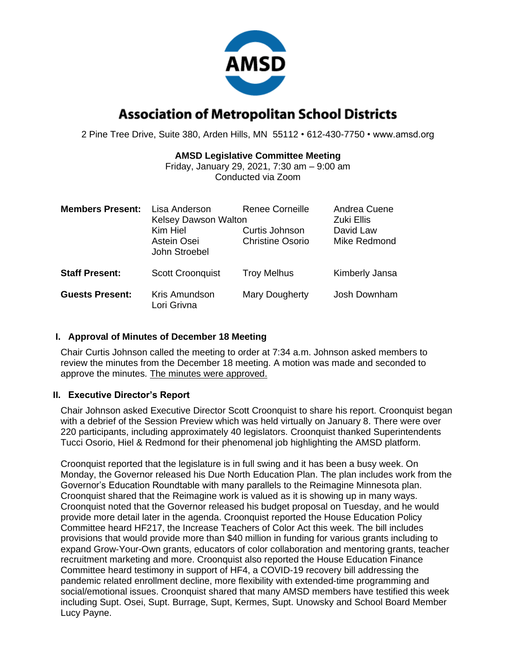

# **Association of Metropolitan School Districts**

2 Pine Tree Drive, Suite 380, Arden Hills, MN 55112 • 612-430-7750 • www.amsd.org

### **AMSD Legislative Committee Meeting**

Friday, January 29, 2021, 7:30 am – 9:00 am Conducted via Zoom

| <b>Members Present:</b> | Lisa Anderson<br><b>Kelsey Dawson Walton</b><br>Kim Hiel<br>Astein Osei<br>John Stroebel | Renee Corneille<br>Curtis Johnson<br><b>Christine Osorio</b> | Andrea Cuene<br>Zuki Ellis<br>David Law<br>Mike Redmond |
|-------------------------|------------------------------------------------------------------------------------------|--------------------------------------------------------------|---------------------------------------------------------|
| <b>Staff Present:</b>   | <b>Scott Croonquist</b>                                                                  | <b>Troy Melhus</b>                                           | Kimberly Jansa                                          |
| <b>Guests Present:</b>  | Kris Amundson<br>Lori Grivna                                                             | Mary Dougherty                                               | Josh Downham                                            |

### **I. Approval of Minutes of December 18 Meeting**

Chair Curtis Johnson called the meeting to order at 7:34 a.m. Johnson asked members to review the minutes from the December 18 meeting. A motion was made and seconded to approve the minutes. The minutes were approved.

### **II. Executive Director's Report**

Chair Johnson asked Executive Director Scott Croonquist to share his report. Croonquist began with a debrief of the Session Preview which was held virtually on January 8. There were over 220 participants, including approximately 40 legislators. Croonquist thanked Superintendents Tucci Osorio, Hiel & Redmond for their phenomenal job highlighting the AMSD platform.

Croonquist reported that the legislature is in full swing and it has been a busy week. On Monday, the Governor released his Due North Education Plan. The plan includes work from the Governor's Education Roundtable with many parallels to the Reimagine Minnesota plan. Croonquist shared that the Reimagine work is valued as it is showing up in many ways. Croonquist noted that the Governor released his budget proposal on Tuesday, and he would provide more detail later in the agenda. Croonquist reported the House Education Policy Committee heard HF217, the Increase Teachers of Color Act this week. The bill includes provisions that would provide more than \$40 million in funding for various grants including to expand Grow-Your-Own grants, educators of color collaboration and mentoring grants, teacher recruitment marketing and more. Croonquist also reported the House Education Finance Committee heard testimony in support of HF4, a COVID-19 recovery bill addressing the pandemic related enrollment decline, more flexibility with extended-time programming and social/emotional issues. Croonquist shared that many AMSD members have testified this week including Supt. Osei, Supt. Burrage, Supt, Kermes, Supt. Unowsky and School Board Member Lucy Payne.